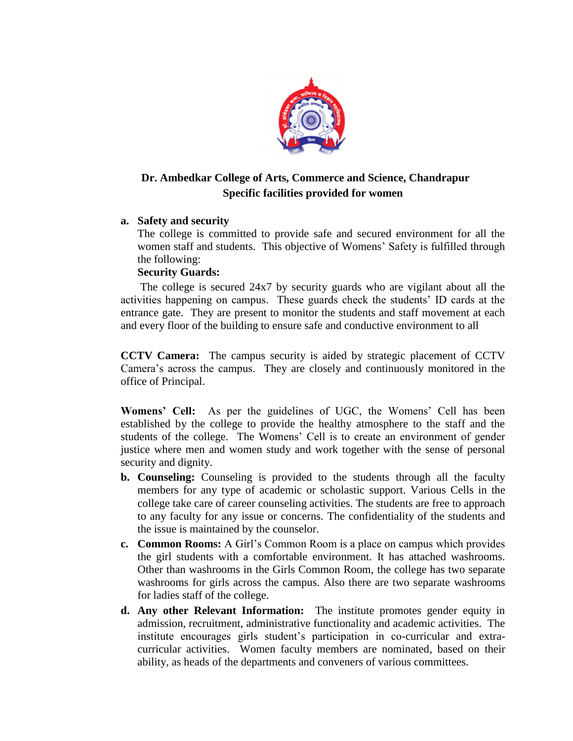

## **Dr. Ambedkar College of Arts, Commerce and Science, Chandrapur Specific facilities provided for women**

## **a. Safety and security**

The college is committed to provide safe and secured environment for all the women staff and students. This objective of Womens' Safety is fulfilled through the following:

## **Security Guards:**

The college is secured 24x7 by security guards who are vigilant about all the activities happening on campus. These guards check the students' ID cards at the entrance gate. They are present to monitor the students and staff movement at each and every floor of the building to ensure safe and conductive environment to all

**CCTV Camera:** The campus security is aided by strategic placement of CCTV Camera's across the campus. They are closely and continuously monitored in the office of Principal.

**Womens' Cell:** As per the guidelines of UGC, the Womens' Cell has been established by the college to provide the healthy atmosphere to the staff and the students of the college. The Womens' Cell is to create an environment of gender justice where men and women study and work together with the sense of personal security and dignity.

- **b. Counseling:** Counseling is provided to the students through all the faculty members for any type of academic or scholastic support. Various Cells in the college take care of career counseling activities. The students are free to approach to any faculty for any issue or concerns. The confidentiality of the students and the issue is maintained by the counselor.
- **c. Common Rooms:** A Girl's Common Room is a place on campus which provides the girl students with a comfortable environment. It has attached washrooms. Other than washrooms in the Girls Common Room, the college has two separate washrooms for girls across the campus. Also there are two separate washrooms for ladies staff of the college.
- **d. Any other Relevant Information:** The institute promotes gender equity in admission, recruitment, administrative functionality and academic activities. The institute encourages girls student's participation in co-curricular and extracurricular activities. Women faculty members are nominated, based on their ability, as heads of the departments and conveners of various committees.